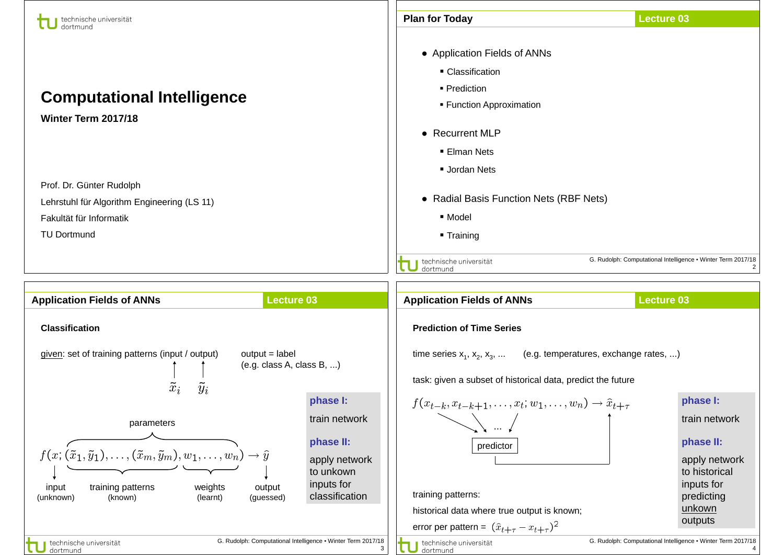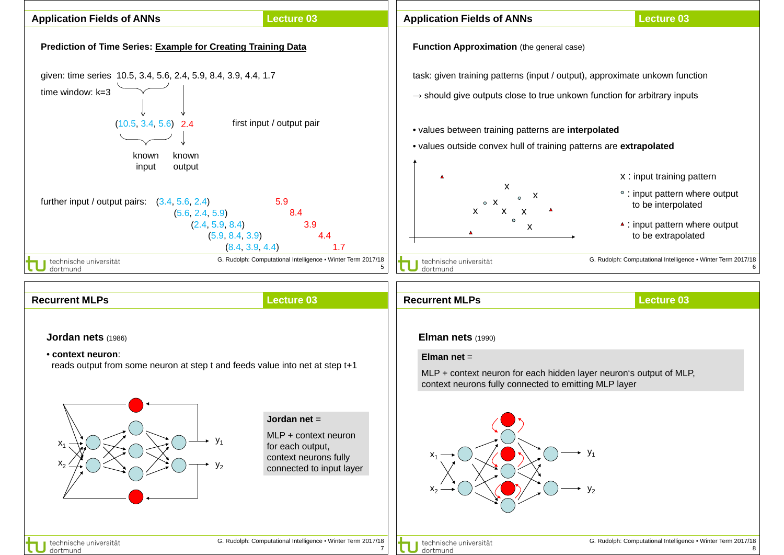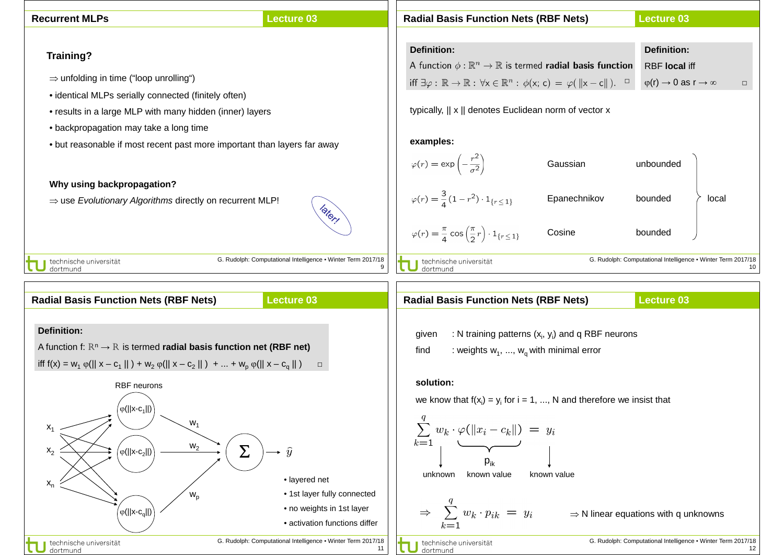| <b>Lecture 03</b><br><b>Recurrent MLPs</b>                                                                                                                                                                                         | <b>Lecture 03</b><br><b>Radial Basis Function Nets (RBF Nets)</b>                                                                                                                   |
|------------------------------------------------------------------------------------------------------------------------------------------------------------------------------------------------------------------------------------|-------------------------------------------------------------------------------------------------------------------------------------------------------------------------------------|
| Training?                                                                                                                                                                                                                          | <b>Definition:</b><br><b>Definition:</b>                                                                                                                                            |
|                                                                                                                                                                                                                                    | A function $\phi : \mathbb{R}^n \to \mathbb{R}$ is termed <b>radial basis function</b><br><b>RBF</b> local iff                                                                      |
| $\Rightarrow$ unfolding in time ("loop unrolling")                                                                                                                                                                                 | iff $\exists \varphi : \mathbb{R} \to \mathbb{R} : \forall x \in \mathbb{R}^n : \phi(x; c) = \varphi(\ x - c\ ).$<br>$\varphi(r) \rightarrow 0$ as $r \rightarrow \infty$<br>$\Box$ |
| • identical MLPs serially connected (finitely often)                                                                                                                                                                               |                                                                                                                                                                                     |
| • results in a large MLP with many hidden (inner) layers                                                                                                                                                                           | typically,    x    denotes Euclidean norm of vector x                                                                                                                               |
| • backpropagation may take a long time                                                                                                                                                                                             |                                                                                                                                                                                     |
| • but reasonable if most recent past more important than layers far away                                                                                                                                                           | examples:                                                                                                                                                                           |
|                                                                                                                                                                                                                                    | $\varphi(r) = \exp\left(-\frac{r^2}{\sigma^2}\right)$<br>unbounded<br>Gaussian                                                                                                      |
| Why using backpropagation?                                                                                                                                                                                                         |                                                                                                                                                                                     |
| $\Rightarrow$ use Evolutionary Algorithms directly on recurrent MLP!<br>later!                                                                                                                                                     | $\varphi(r) = \frac{3}{4}(1 - r^2) \cdot 1_{\{r \leq 1\}}$<br>Epanechnikov<br>bounded<br>local                                                                                      |
|                                                                                                                                                                                                                                    | $\varphi(r) = \frac{\pi}{4} \cos\left(\frac{\pi}{2}r\right) \cdot 1_{\{r \leq 1\}}$<br>Cosine<br>bounded                                                                            |
| G. Rudolph: Computational Intelligence . Winter Term 2017/18<br>technische universität<br>dortmund                                                                                                                                 | G. Rudolph: Computational Intelligence . Winter Term 2017/18<br>technische universität<br>dortmund<br>9                                                                             |
| <b>Radial Basis Function Nets (RBF Nets)</b><br><b>Lecture 03</b>                                                                                                                                                                  | <b>Radial Basis Function Nets (RBF Nets)</b><br><b>Lecture 03</b>                                                                                                                   |
| <b>Definition:</b><br>A function f: $\mathbb{R}^n \to \mathbb{R}$ is termed <b>radial basis function net (RBF net)</b><br>iff $f(x) = w_1 \varphi(  x - c_1  ) + w_2 \varphi(  x - c_2  ) +  + w_p \varphi(  x - c_q  )$<br>$\Box$ | : N training patterns $(x_i, y_i)$ and q RBF neurons<br>given<br>: weights $w_1$ , , $w_0$ with minimal error<br>find                                                               |
| <b>RBF</b> neurons                                                                                                                                                                                                                 | solution:                                                                                                                                                                           |
| $\left( \varphi (  \mathsf{x}\text{-}\mathsf{c}_1  ) \right)$<br>$W_1$<br>$X_1$<br>$W_2$<br>$\boldsymbol{\Sigma}$<br>$\mathsf{x}_2$<br>$\rightarrow \hat{y}$<br>$\varphi(  x-c_2  )$                                               | we know that $f(x_i) = y_i$ for $i = 1, , N$ and therefore we insist that<br>$\sum w_k \cdot \varphi(  x_i - c_k  ) = y_i$<br>$k=1$<br>$P_{ik}$                                     |
| · layered net<br>$x_{n}$                                                                                                                                                                                                           | known value<br>known value<br>unknown                                                                                                                                               |

• 1st layer fully connected • no weights in 1st layer

• activation functions differ

11

technische universität

G. Rudolph: Computational Intelligence ▪ Winter Term 2017/18

 $\big($ φ(||x-c<sub>q</sub>||)

dechnische universität<br>dortmund

τ

 $W_p$ 

G. Rudolph: Computational Intelligence ▪ Winter Term 2017/18 12

 $\Rightarrow \sum\limits_{k=1}^q w_k \cdot p_{ik} \ = \ y_i \qquad \Rightarrow$  N linear equations with q unknowns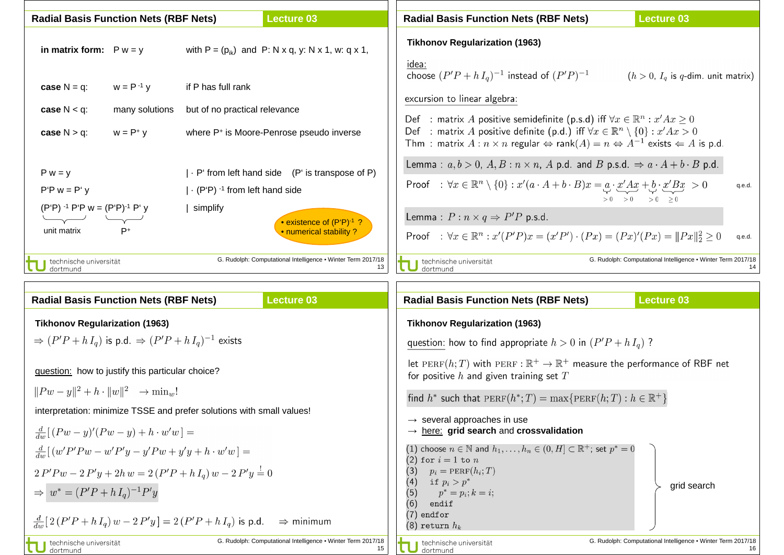| <b>Radial Basis Function Nets (RBF Nets)</b>                                                           |                | <b>Lecture 03</b>                                                                                                                                                                         | <b>Lecture 03</b><br><b>Radial Basis Function Nets (RBF Nets)</b>                                                                                                                                                                                                                                                                                                                                                                                                                                       |
|--------------------------------------------------------------------------------------------------------|----------------|-------------------------------------------------------------------------------------------------------------------------------------------------------------------------------------------|---------------------------------------------------------------------------------------------------------------------------------------------------------------------------------------------------------------------------------------------------------------------------------------------------------------------------------------------------------------------------------------------------------------------------------------------------------------------------------------------------------|
| in matrix form: $P w = y$                                                                              |                | with $P = (p_{ik})$ and P: N x q, y: N x 1, w: q x 1,                                                                                                                                     | <b>Tikhonov Regularization (1963)</b><br>idea:                                                                                                                                                                                                                                                                                                                                                                                                                                                          |
| case $N = q$ :                                                                                         | $w = P^{-1}y$  | if P has full rank                                                                                                                                                                        | choose $(P'P + h I_q)^{-1}$ instead of $(P'P)^{-1}$<br>$(h > 0, Ia$ is q-dim. unit matrix)<br>excursion to linear algebra:                                                                                                                                                                                                                                                                                                                                                                              |
| case $N < q$ :                                                                                         | many solutions | but of no practical relevance                                                                                                                                                             |                                                                                                                                                                                                                                                                                                                                                                                                                                                                                                         |
| case $N > q$ :                                                                                         | $w = P^+ y$    | where P <sup>+</sup> is Moore-Penrose pseudo inverse                                                                                                                                      | : matrix $A$ positive semidefinite (p.s.d) iff $\forall x \in \mathbb{R}^n : x' A x \geq 0$<br>Def<br>: matrix A positive definite (p.d.) iff $\forall x \in \mathbb{R}^n \setminus \{0\} : x' A x > 0$<br>Def<br>Thm : matrix $A: n \times n$ regular $\Leftrightarrow$ rank $(A) = n \Leftrightarrow A^{-1}$ exists $\Leftarrow A$ is p.d.                                                                                                                                                            |
| $P w = y$<br>$P'P w = P' v$<br>$(P'P)$ <sup>-1</sup> P'P w = $(P'P)$ <sup>-1</sup> P' y<br>unit matrix | P+             | $\cdot$ P' from left hand side (P' is transpose of P)<br>$\left  \cdot \right.$ (P'P) <sup>-1</sup> from left hand side<br>simplify<br>• existence of (P'P)-1 ?<br>• numerical stability? | Lemma: $a, b > 0$ , $A, B : n \times n$ , A p.d. and B p.s.d. $\Rightarrow a \cdot A + b \cdot B$ p.d.<br>Proof : $\forall x \in \mathbb{R}^n \setminus \{0\} : x'(a \cdot A + b \cdot B)x = a \cdot \underline{x}' \cdot \underline{A}x + b \cdot \underline{x}' \cdot \underline{B}x > 0$<br>q.e.d.<br>$> 0$ $> 0$ $> 0$ $> 0$ $> 0$<br>Lemma: $P: n \times q \Rightarrow P'P$ p.s.d.<br>Proof : $\forall x \in \mathbb{R}^n : x'(P'P)x = (x'P') \cdot (Px) = (Px)'(Px) =   Px  _2^2 \ge 0$<br>q.e.d. |
| technische universität<br>dortmund                                                                     |                | G. Rudolph: Computational Intelligence . Winter Term 2017/18                                                                                                                              | G. Rudolph: Computational Intelligence • Winter Term 2017/18<br>technische universität<br>13<br>dortmund                                                                                                                                                                                                                                                                                                                                                                                                |

| <b>Lecture 03</b>                                                                                                                                                                                      | <b>Lecture 03</b>                                                                                                                                                                                                                                     |
|--------------------------------------------------------------------------------------------------------------------------------------------------------------------------------------------------------|-------------------------------------------------------------------------------------------------------------------------------------------------------------------------------------------------------------------------------------------------------|
| <b>Radial Basis Function Nets (RBF Nets)</b>                                                                                                                                                           | <b>Radial Basis Function Nets (RBF Nets)</b>                                                                                                                                                                                                          |
| <b>Tikhonov Regularization (1963)</b>                                                                                                                                                                  | <b>Tikhonov Regularization (1963)</b>                                                                                                                                                                                                                 |
| $\Rightarrow (P'P + h I_a)$ is p.d. $\Rightarrow (P'P + h I_a)^{-1}$ exists                                                                                                                            | question: how to find appropriate $h > 0$ in $(P'P + h I_a)$ ?                                                                                                                                                                                        |
| question: how to justify this particular choice?<br>$  Pw - y  ^2 + h \cdot   w  ^2 \rightarrow \min_w!$                                                                                               | let PERF(h; T) with PERF : $\mathbb{R}^+ \to \mathbb{R}^+$ measure the performance of RBF net<br>for positive $h$ and given training set $T$<br>find $h^*$ such that $PERF(h^*;T) = \max\{PERF(h;T) : h \in \mathbb{R}^+\}\$                          |
| interpretation: minimize TSSE and prefer solutions with small values!                                                                                                                                  | $\rightarrow$ several approaches in use                                                                                                                                                                                                               |
| $\frac{d}{dw}[(Pw-y)'(Pw-y)+h\cdot w'w]=$                                                                                                                                                              | $\rightarrow$ here: grid search and crossvalidation                                                                                                                                                                                                   |
| $\frac{d}{dw}[(w'P'Pw-w'P'y-y'Pw+y'y+h\cdot w'w]=$<br>$2 P' P w - 2 P' y + 2h w = 2 (P' P + h I_a) w - 2 P' y = 0$<br>$\Rightarrow$ $w^* = (P'P + hI_q)^{-1}P'y$                                       | (1) choose $n \in \mathbb{N}$ and $h_1, \ldots, h_n \in (0, H] \subset \mathbb{R}^+$ ; set $p^* = 0$<br>(2) for $i=1$ to $n$<br>$p_i = \text{PERF}(h_i; T)$<br>(3)<br>(4) if $p_i > p^*$<br>grid search<br>(5)<br>$p^* = p_i; k = i;$<br>(6)<br>endif |
| $\frac{d}{dw}[2(P'P + h I_q) w - 2P' y] = 2(P'P + h I_q)$ is p.d.<br>$\Rightarrow$ minimum<br>G. Rudolph: Computational Intelligence • Winter Term 2017/18<br>technische universität<br>15<br>dortmund | $(7)$ endfor<br>$(8)$ return $h_k$<br>G. Rudolph: Computational Intelligence . Winter Term 2017/18<br>technische universität<br>dortmund                                                                                                              |